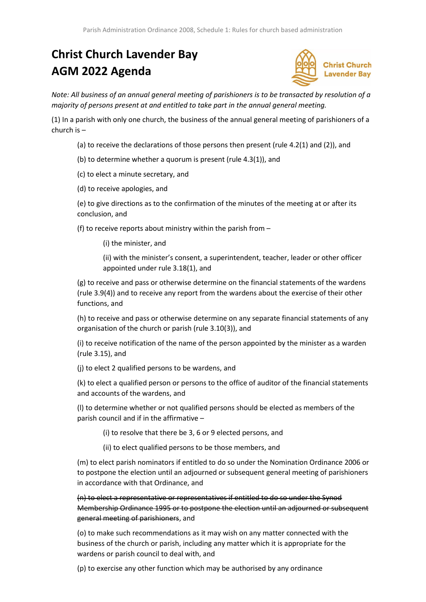## **Christ Church Lavender Bay AGM 2022 Agenda**



*Note: All business of an annual general meeting of parishioners is to be transacted by resolution of a majority of persons present at and entitled to take part in the annual general meeting.*

(1) In a parish with only one church, the business of the annual general meeting of parishioners of a church is –

- (a) to receive the declarations of those persons then present (rule 4.2(1) and (2)), and
- (b) to determine whether a quorum is present (rule 4.3(1)), and
- (c) to elect a minute secretary, and
- (d) to receive apologies, and

(e) to give directions as to the confirmation of the minutes of the meeting at or after its conclusion, and

(f) to receive reports about ministry within the parish from –

(i) the minister, and

(ii) with the minister's consent, a superintendent, teacher, leader or other officer appointed under rule 3.18(1), and

(g) to receive and pass or otherwise determine on the financial statements of the wardens (rule 3.9(4)) and to receive any report from the wardens about the exercise of their other functions, and

(h) to receive and pass or otherwise determine on any separate financial statements of any organisation of the church or parish (rule 3.10(3)), and

(i) to receive notification of the name of the person appointed by the minister as a warden (rule 3.15), and

(j) to elect 2 qualified persons to be wardens, and

(k) to elect a qualified person or persons to the office of auditor of the financial statements and accounts of the wardens, and

(l) to determine whether or not qualified persons should be elected as members of the parish council and if in the affirmative –

(i) to resolve that there be 3, 6 or 9 elected persons, and

(ii) to elect qualified persons to be those members, and

(m) to elect parish nominators if entitled to do so under the Nomination Ordinance 2006 or to postpone the election until an adjourned or subsequent general meeting of parishioners in accordance with that Ordinance, and

(n) to elect a representative or representatives if entitled to do so under the Synod Membership Ordinance 1995 or to postpone the election until an adjourned or subsequent general meeting of parishioners, and

(o) to make such recommendations as it may wish on any matter connected with the business of the church or parish, including any matter which it is appropriate for the wardens or parish council to deal with, and

(p) to exercise any other function which may be authorised by any ordinance